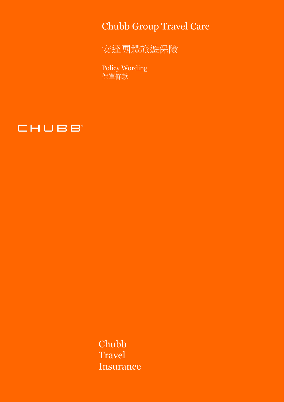Chubb Group Travel Care

安達團體旅遊保險

Policy Wording 保單條款



Chubb Travel Insurance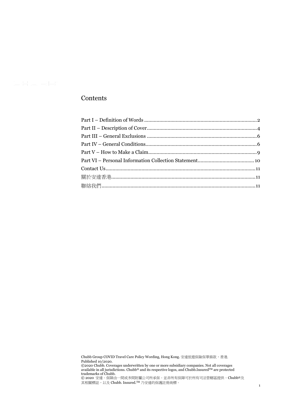# Contents

Chubb Group COVID Travel Care Policy Wording, Hong Kong. 安達旅遊保險保單條款,香港. Published 10/2020.

©2020 Chubb. Coverages underwritten by one or more subsidiary companies. Not all coverages available in all jurisdictions. Chubb® and its respective logos, and Chubb.Insured™ are protected trademarks of Chubb.

© 2020 安達。保障由一間或多間附屬公司所承保。並非所有保障可於所有司法管轄區提供。Chubb®及 其相關標誌,以及 Chubb. Insured.™ 乃安達的保護註冊商標。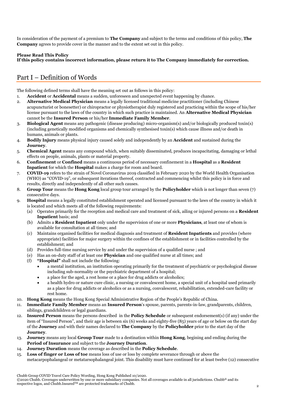In consideration of the payment of a premium to **The Company** and subject to the terms and conditions of this policy, **The Company** agrees to provide cover in the manner and to the extent set out in this policy.

# **Please Read This Policy**

**If this policy contains incorrect information, please return it to The Company immediately for correction.**

# <span id="page-2-0"></span>Part I – Definition of Words

The following defined terms shall have the meaning set out as follows in this policy:

- 1. **Accident** or **Accidental** means a sudden, unforeseen and unexpected event happening by chance.
- 2. **Alternative Medical Physician** means a legally licensed traditional medicine practitioner (including Chinese acupuncturist or bonesetter) or chiropractor or physiotherapist duly registered and practicing within the scope of his/her license pursuant to the laws of the country in which such practice is maintained. An **Alternative Medical Physician** cannot be the **Insured Person** or his/her **Immediate Family Member**.
- 3. **Biological Agent** means any pathogenic (disease producing) micro-organism(s) and/or biologically produced toxin(s) (including genetically modified organisms and chemically synthesised toxin(s) which cause illness and/or death in humans, animals or plants.
- 4. **Bodily Injury** means physical injury caused solely and independently by an **Accident** and sustained during the **Journey**.
- 5. **Chemical Agent** means any compound which, when suitably disseminated, produces incapacitating, damaging or lethal effects on people, animals, plants or material property.
- 6. **Confinement** or **Confined** means a continuous period of necessary confinement in a **Hospital** as a **Resident Inpatient** for which the **Hospital** makes a charge for room and board.
- 7. **COVID-19** refers to the strain of Novel Coronavirus 2019 classified in February 2020 by the World Health Organisation (WHO) as "COVID-19", or subsequent iterations thereof, contracted and commencing whilst this policy is in force and results, directly and independently of all other such causes.
- 8. **Group Tour** means the **Hong Kong** local group tour arranged by the **Policyholder** which is not longer than seven (7) consecutive days.
- 9. **Hospital** means a legally constituted establishment operated and licensed pursuant to the laws of the country in which it is located and which meets all of the following requirements:
	- (a) Operates primarily for the reception and medical care and treatment of sick, ailing or injured persons on a **Resident Inpatient** basis; and
	- (b) Admits a **Resident Inpatient** only under the supervision of one or more **Physicians**, at least one of whom is available for consultation at all times; and
	- (c) Maintains organised facilities for medical diagnosis and treatment of **Resident Inpatients** and provides (where appropriate) facilities for major surgery within the confines of the establishment or in facilities controlled by the establishment; and
	- (d) Provides full-time nursing service by and under the supervision of a qualified nurse ; and
	- (e) Has an on-duty staff of at least one **Physician** and one qualified nurse at all times; and
	- (f) **"Hospital"** shall not include the following:
		- a mental institution, an institution operating primarily for the treatment of psychiatric or psychological disease including sub-normality or the psychiatric department of a hospital;
		- a place for the aged, a rest home or a place for drug addicts or alcoholics;
		- a health hydro or nature cure clinic, a nursing or convalescent home, a special unit of a hospital used primarily as a place for drug addicts or alcoholics or as a nursing, convalescent, rehabilitation, extended-care facility or rest home.
- 10. **Hong Kong** means the Hong Kong Special Administrative Region of the People's Republic of China.
- 11. **Immediate Family Member** means an **Insured Person**'s spouse, parents, parents-in-law, grandparents, children, siblings, grandchildren or legal guardians.
- 12. **Insured Person** means the persons described in the **Policy Schedule** or subsequent endorsement(s) (if any) under the item of "Insured Person", and their age is between six (6) weeks and eighty-five (85) years of age or below on the start day of the **Journey** and with their names declared to **The Company** by the **Policyholder** prior to the start day of the **Journey**.
- 13. **Journey** means any local **Group Tour** made to a destination within **Hong Kong**, begining and ending during the **Period of Insurance** and subject to the **Journey Duration**.
- 14. **Journey Duration** means the coverage as described in the **Policy Schedule**.
- 15. **Loss of finger or Loss of toe** means loss of use or loss by complete severance through or above the metacarpophalangeal or metatarsophalangeal joint. This disability must have continued for at least twelve (12) consecutive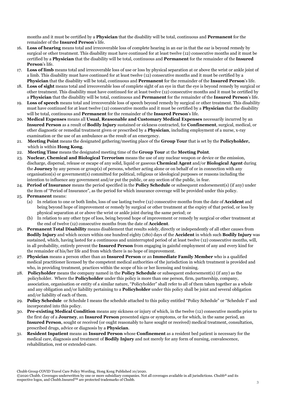months and it must be certified by a **Physician** that the disability will be total, continuous and **Permanent** for the remainder of the **Insured Person**'s life.

- 16. **Loss of hearing** means total and irrecoverable loss of complete hearing in an ear in that the ear is beyond remedy by surgical or other treatment. This disability must have continued for at least twelve (12) consecutive months and it must be certified by a **Physician** that the disability will be total, continuous and **Permanent** for the remainder of the **Insured Person**'s life.
- 17. **Loss of limb** means total and irrecoverable loss of use or loss by physical separation at or above the wrist or ankle joint of a limb. This disability must have continued for at least twelve (12) consecutive months and it must be certified by a **Physician** that the disability will be total, continuous and **Permanent** for the remainder of the **Insured Person**'s life.
- 18. **Loss of sight** means total and irrecoverable loss of complete sight of an eye in that the eye is beyond remedy by surgical or other treatment. This disability must have continued for at least twelve (12) consecutive months and it must be certified by a **Physician** that the disability will be total, continuous and **Permanent** for the remainder of the **Insured Person**'s life.
- 19. **Loss of speech** means total and irrecoverable loss of speech beyond remedy by surgical or other treatment. This disability must have continued for at least twelve (12) consecutive months and it must be certified by a **Physician** that the disability will be total, continuous and **Permanent** for the remainder of the **Insured Person**'s life.
- 20. **Medical Expenses** means all **Usual**, **Reasonable and Customary Medical Expenses** necessarily incurred by an **Insured Person** as a result of **Bodily Injury** sustained or sickness contracted, for **Confinement**, surgical, medical, or other diagnostic or remedial treatment given or prescribed by a **Physician**, including employment of a nurse, x-ray examination or the use of an ambulance as the result of an emergency.
- 21. **Meeting Point** means the designated gathering/meeting place of the **Group Tour** that is set by the **Policyholder,**  which is within **Hong Kong**.
- 22. **Meeting Time** means the designated meeting time of the **Group Tour** at the **Meeting Point**.
- 23. **Nuclear, Chemical and Biological Terrorism** means the use of any nuclear weapon or device or the emission, discharge, dispersal, release or escape of any solid, liquid or gaseous **Chemical Agent** and/or **Biological Agent** during the **Journey** by any person or group(s) of persons, whether acting alone or on behalf of or in connection with any organisation(s) or government(s) committed for political, religious or ideological purposes or reasons including the intention to influence any government and/or put the public, or any section of the public, in fear.
- 24. **Period of Insurance** means the period specified in the **Policy Schedule** or subsequent endorsement(s) (if any) under the item of "Period of Insurance", as the period for which insurance coverage will be provided under this policy. 25. **Permanent** means:
	- (a) In relation to one or both limbs, loss of use lasting twelve (12) consecutive months from the date of **Accident** and being beyond hope of improvement or remedy by surgical or other treatment at the expiry of that period, or loss by physical separation at or above the wrist or ankle joint during the same period; or
	- In relation to any other type of loss, being beyond hope of improvement or remedy by surgical or other treatment at the end of twelve (12) consecutive months from the date of **Accident**.
- 26. **Permanent Total Disability** means disablement that results solely, directly or independently of all other causes from **Bodily Injury** and which occurs within one hundred eighty (180) days of the **Accident** in which such **Bodily Injury** was sustained, which, having lasted for a continuous and uninterrupted period of at least twelve (12) consecutive months, will, in all probability, entirely prevent the **Insured Person** from engaging in gainful employment of any and every kind for the remainder of his/her life and from which there is no hope of improvement.
- 27. **Physician** means a person other than an **Insured Person** or an **Immediate Family Member** who is a qualified medical practitioner licensed by the competent medical authorities of the jurisdiction in which treatment is provided and who, in providing treatment, practices within the scope of his or her licensing and training.
- 28. **Policyholder** means the company named in the **Policy Schedule** or subsequent endorsement(s) (if any) as the policyholder. Where the **Policyholder** under this policy is more than one person, firm, partnership, company, association, organisation or entity of a similar nature, "Policyholder" shall refer to all of them taken together as a whole and any obligation and/or liability pertaining to a **Policyholder** under this policy shall be joint and several obligation and/or liability of each of them.
- 29. **Policy Schedule** or Schedule I means the schedule attached to this policy entitled "Policy Schedule" or "Schedule I" and incorporated into this policy.
- 30. **Pre-existing Medical Condition** means any sickness or injury of which, in the twelve (12) consecutive months prior to the first day of a **Journey**, an **Insured Person** presented signs or symptoms, or for which, in the same period, an **Insured Person**, sought or received (or ought reasonably to have sought or received) medical treatment, consultation, prescribed drugs, advice or diagnosis by a **Physician**.
- 31. **Resident Inpatient** means an **Insured Person** whose **Confinement** as a resident bed patient is necessary for the medical care, diagnosis and treatment of **Bodily Injury** and not merely for any form of nursing, convalescence, rehabilitation, rest or extended-care.

Chubb Group COVID Travel Care Policy Wording, Hong Kong Published 10/2020.

<sup>©2020</sup> Chubb. Coverages underwritten by one or more subsidiary companies. Not all coverages available in all jurisdictions. Chubb® and its respective logos, and Chubb.InsuredTM are protected trademarks of Chubb.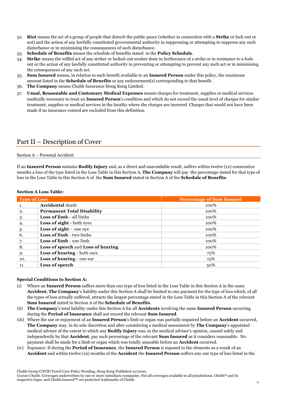- 32. **Riot** means the act of a group of people that disturb the public peace (whether in connection with a **Strike** or lock-out or not) and the action of any lawfully constituted governmental authority in suppressing or attempting to suppress any such disturbance or in minimising the consequences of such disturbance.
- 33. **Schedule of Benefits** means the schedule of benefits stated in the **Policy Schedule**.
- 34. **Strike** means the willful act of any striker or locked-out worker done in furtherance of a strike or in resistance to a lockout or the action of any lawfully constituted authority in preventing or attempting to prevent any such act or in minimising the consequences of any such act.
- 35. **Sum Insured** means, in relation to each benefit available to an **Insured Person** under this policy, the maximum amount listed in the **Schedule of Benefits** or any endorsement(s) corresponding to that benefit.
- 36. **The Company** means Chubb Insurance Hong Kong Limited.
- 37. **Usual, Reasonable and Customary Medical Expenses** means charges for treatment, supplies or medical services medically necessary to treat an **Insured Person**'s condition and which do not exceed the usual level of charges for similar treatment, supplies or medical services in the locality where the charges are incurred. Charges that would not have been made if no insurance existed are excluded from this definition.

# <span id="page-4-0"></span>Part II – Description of Cover

#### Section A – Personal Accident

If an **Insured Person** sustains **Bodily Injury** and, as a direct and unavoidable result, suffers within twelve (12) consecutive months a loss of the type listed in the Loss Table in this Section A, **The Company** will pay the percentage stated for that type of loss in the Loss Table in this Section A of the **Sum Insured** stated in Section A of the **Schedule of Benefits**.

### **Section A Loss Table:**

| <b>Type of Loss</b> |                                    | <b>Percentage of Sum Insured</b> |
|---------------------|------------------------------------|----------------------------------|
| -1.                 | <b>Accidental</b> death            | 100%                             |
| 2.                  | <b>Permanent Total Disability</b>  | 100%                             |
| 3.                  | <b>Loss of limb - all limbs</b>    | 100%                             |
| 4.                  | Loss of sight - both eyes          | 100%                             |
| -5.                 | Loss of sight - one eye            | 100%                             |
| -6.                 | <b>Loss of limb - two limbs</b>    | 100%                             |
| 7.                  | <b>Loss of limb</b> - one limb     | 100%                             |
| -8.                 | Loss of speech and Loss of hearing | 100%                             |
| 9.                  | Loss of hearing - both ears        | 75%                              |
| 10.                 | Loss of hearing - one ear          | 15%                              |
| 11.                 | Loss of speech                     | 50%                              |

#### **Special Conditions to Section A:**

- (i) Where an **Insured Person** suffers more than one type of loss listed in the Loss Table in this Section A in the same **Accident**, **The Company**'s liability under this Section A shall be limited to one payment for the type of loss which, of all the types of loss actually suffered, attracts the largest percentage stated in the Loss Table in this Section A of the relevant **Sum Insured** stated in Section A of the **Schedule of Benefits**.
- (ii) **The Company**'s total liability under this Section A for all **Accidents** involving the same **Insured Person** occurring during the **Period of Insurance** shall not exceed the relevant **Sum Insured**.
- (iii) Where the use or enjoyment of an **Insured Person**'s limb or organ was partially impaired before an **Accident** occurred, **The Company** may, in its sole discretion and after considering a medical assessment by **The Company**'s appointed medical adviser of the extent to which any **Bodily Injury** was, in the medical adviser's opinion, caused solely and independently by that **Accident**, pay such percentage of the relevant **Sum Insured** as it considers reasonable. No payment shall be made for a limb or organ which was totally unusable before an **Accident** occurred.
- (iv) Exposure: If during the **Period of Insurance**, the **Insured Person** is exposed to the elements as a result of an **Accident** and within twelve (12) months of the **Accident** the **Insured Person** suffers any one type of loss listed in the

<sup>©2020</sup> Chubb. Coverages underwritten by one or more subsidiary companies. Not all coverages available in all jurisdictions. Chubb® and its respective logos, and Chubb.Insured<sup>TM</sup> are protected trademarks of Chubb.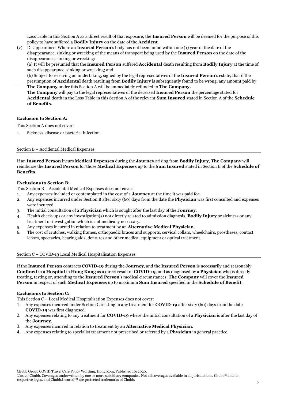Loss Table in this Section A as a direct result of that exposure, the **Insured Person** will be deemed for the purpose of this policy to have suffered a **Bodily Injury** on the date of the **Accident**.

(v) Disappearance: Where an **Insured Person**'s body has not been found within one (1) year of the date of the disappearance, sinking or wrecking of the means of transport being used by the **Insured Person** on the date of the disappearance, sinking or wrecking:

(a) It will be presumed that the **Insured Person** suffered **Accidental** death resulting from **Bodily Injury** at the time of such disappearance, sinking or wrecking; and

(b) Subject to receiving an undertaking, signed by the legal representatives of the **Insured Person**'s estate, that if the presumption of **Accidental** death resulting from **Bodily Injury** is subsequently found to be wrong, any amount paid by **The Company** under this Section A will be immediately refunded to **The Company.**

**The Company** will pay to the legal representatives of the deceased **Insured Person** the percentage stated for **Accidental** death in the Loss Table in this Section A of the relevant **Sum Insured** stated in Section A of the **Schedule of Benefits**.

# **Exclusion to Section A:**

This Section A does not cover:

1. Sickness, disease or bacterial infection.

### Section B – Accidental Medical Expenses

If an **Insured Person** incurs **Medical Expenses** during the **Journey** arising from **Bodily Injury**, **The Company** will reimburse the **Insured Person** for those **Medical Expenses** up to the **Sum Insured** stated in Section B of the **Schedule of Benefits**.

### **Exclusions to Section B:**

This Section B – Accidental Medical Expenses does not cover:

- 1. Any expenses included or contemplated in the cost of a **Journey** at the time it was paid for.
- 2. Any expenses incurred under Section B after sixty (60) days from the date the **Physician** was first consulted and expenses were incurred.
- 3. The initial consultation of a **Physician** which is sought after the last day of the **Journey**.
- 4. Health check-ups or any investigation(s) not directly related to admission diagnosis, **Bodily Injury** or sickness or any treatment or investigation which is not medically necessary.
- 5. Any expenses incurred in relation to treatment by an **Alternative Medical Physician**.
- 6. The cost of crutches, walking frames, orthopaedic braces and supports, cervical collars, wheelchairs, prostheses, contact lenses, spectacles, hearing aids, dentures and other medical equipment or optical treatment.

#### Section C – COVID-19 Local Medical Hospitalisation Expenses

If the **Insured Person** contracts **COVID-19** during the **Journey**, and the **Insured Person** is necessarily and reasonably **Confined** in a **Hospital** in **Hong Kong** as a direct result of **COVID-19**, and as diagnosed by a **Physician** who is directly treating, testing or, attending to the **Insured Person**'s medical circumstances, **The Company** will cover the **Insured Person** in respect of such **Medical Expenses** up to maximum **Sum Insured** specified in the **Schedule of Benefit**.

### **Exclusions to Section C:**

This Section C – Local Medical Hospitalisation Expenses does not cover:

- 1. Any expenses incurred under Section C relating to any treatment for **COVID-19** after sixty (60) days from the date **COVID-19** was first diagnosed.
- 2. Any expenses relating to any treatment for **COVID-19** where the initial consultation of a **Physician** is after the last day of the **Journey**.
- 3. Any expenses incurred in relation to treatment by an **Alternative Medical Physician**.
- 4. Any expenses relating to specialist treatment not prescribed or referred by a **Physician** in general practice.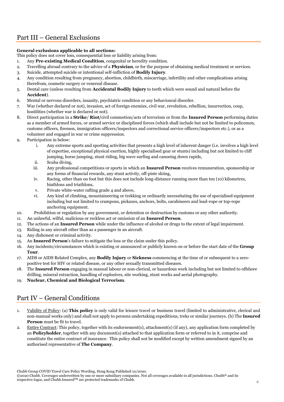# <span id="page-6-0"></span>Part III – General Exclusions

# **General exclusions applicable to all sections:**

This policy does not cover loss, consequential loss or liability arising from:

- 1. Any **Pre-existing Medical Condition**, congenital or heredity condition.
- 2. Travelling abroad contrary to the advice of a **Physician**, or for the purpose of obtaining medical treatment or services.
- 3. Suicide, attempted suicide or intentional self-infliction of **Bodily Injury**.
- 4. Any condition resulting from pregnancy, abortion, childbirth, miscarriage, infertility and other complications arising therefrom, cosmetic surgery or venereal disease.
- 5. Dental care (unless resulting from **Accidental Bodily Injury** to teeth which were sound and natural before the **Accident**).
- 6. Mental or nervous disorders, insanity, psychiatric condition or any behavioural disorder.
- 7. War (whether declared or not), invasion, act of foreign enemies, civil war, revolution, rebellion, insurrection, coup, hostilities (whether war is declared or not).
- 8. Direct participation in a **Strike**/ **Riot/**civil commotion/acts of terrorism or from the **Insured Person** performing duties as a member of armed forces, or armed service or disciplined forces (which shall include but not be limited to policemen, customs officers, firemen, immigration officers/inspectors and correctional service officers/inspectors etc.), or as a volunteer and engaged in war or crime suppression.
- 9. Participation in below:
	- i. Any extreme sports and sporting activities that presents a high level of inherent danger (i.e. involves a high level of expertise, exceptional physical exertion, highly specialised gear or stunts) including but not limited to cliff jumping, horse jumping, stunt riding, big wave surfing and canoeing down rapids,
	- ii. Scuba diving,
	- iii. Any professional competitions or sports in which an **Insured Person** receives remuneration, sponsorship or any forms of financial rewards, any stunt activity, off-piste skiing,
	- iv. Racing, other than on foot but this does not include long-distance running more than ten (10) kilometres, biathlons and triathlons,
	- v. Private white-water rafting grade 4 and above,
	- vi. Any kind of climbing, mountaineering or trekking or ordinarily necessitating the use of specialised equipment including but not limited to crampons, pickaxes, anchors, bolts, carabineers and lead-rope or top-rope anchoring equipment.
- 10. Prohibition or regulation by any government, or detention or destruction by customs or any other authority.
- 11. An unlawful, wilful, malicious or reckless act or omission of an **Insured Person**.
- 12. The actions of an **Insured Person** while under the influence of alcohol or drugs to the extent of legal impairment.
- 13. Riding in any aircraft other than as a passenger in an aircraft.
- 14. Any dishonest or criminal activity.
- 15. An **Insured Person**'s failure to mitigate the loss or the claim under this policy.
- 16. Any incidents/circumstances which is existing or announced or publicly known on or before the start date of the **Group Tour**.
- 17. AIDS or AIDS Related Complex, any **Bodily Injury** or **Sickness** commencing at the time of or subsequent to a zeropositive test for HIV or related disease, or any other sexually transmitted diseases.
- 18. The **Insured Person** engaging in manual labour or non-clerical, or hazardous work including but not limited to offshore drilling, mineral extraction, handling of explosives, site working, stunt works and aerial photography.
- <span id="page-6-1"></span>19. **Nuclear, Chemical and Biological Terrorism**.

# Part IV – General Conditions

- 1. Validity of Policy: (a) **This policy** is only valid for leisure travel or business travel (limited to administrative, clerical and non-manual works only) and shall not apply to persons undertaking expeditions, treks or similar journeys. (b) The **Insured Person** must be fit to travel.
- 2. Entire Contract: This policy, together with its endorsement(s), attachment(s) (if any), any application form completed by an **Policyholder**, together with any document(s) attached to that application form or referred to in it, comprise and constitute the entire contract of insurance. This policy shall not be modified except by written amendment signed by an authorised representative of **The Company**.

Chubb Group COVID Travel Care Policy Wording, Hong Kong Published 10/2020.

<sup>©2020</sup> Chubb. Coverages underwritten by one or more subsidiary companies. Not all coverages available in all jurisdictions. Chubb® and its respective logos, and Chubb.InsuredTM are protected trademarks of Chubb. <sup>6</sup>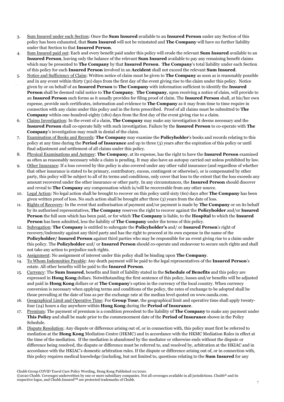- 3. Sum Insured under each Section: Once the **Sum Insured** available to an **Insured Person** under any Section of this policy has been exhausted, that **Sum Insured** will not be reinstated and **The Company** will have no further liability under that Section to that **Insured Person**.
- 4. Sum Insured paid out: Each and every benefit paid under this policy will erode the relevant **Sum Insured** available to an **Insured Person**, leaving only the balance of the relevant **Sum Insured** available to pay any remaining benefit claims which may be presented to **The Company** by that **Insured Person**. **The Company**'s total liability under each Section of this policy for each **Insured Person** involved in an **Accident** shall not exceed the relevant **Sum Insured**.
- 5. Notice and Sufficiency of Claim: Written notice of claim must be given to **The Company** as soon as is reasonably possible and in any event within thirty (30) days from the first day of the event giving rise to the claim under this policy. Notice given by or on behalf of an **Insured Person** to **The Company** with information sufficient to identify the **Insured Person** shall be deemed valid notice to **The Company**. **The Company**, upon receiving a notice of claim, will provide to an **Insured Person** such forms as it usually provides for filing proof of claim. The **Insured Person** shall, at his/her own expense, provide such certificates, information and evidence to **The Company** as it may from time to time require in connection with any claim under this policy and in the form prescribed. Proof of all claims must be submitted to **The Company** within one-hundred-eighty (180) days from the first day of the event giving rise to a claim.
- 6. Claims Investigation: In the event of a claim, **The Company** may make any investigation it deems necessary and the **Insured Person** shall co-operate fully with such investigation. Failure by the **Insured Person** to co-operate with **The Company**'s investigation may result in denial of the claim.
- 7. Examination of Books and Records: **The Company** may examine the **Policyholder**'s books and records relating to this policy at any time during the **Period of Insurance** and up to three (3) years after the expiration of this policy or until final adjustment and settlement of all claims under this policy.
- 8. Physical Examinations and Autopsy: **The Company**, at its expense, has the right to have the **Insured Person** examined as often as reasonably necessary while a claim is pending. It may also have an autopsy carried out unless prohibited by law.
- 9. Other Insurance: If a loss covered by this policy is also covered under any other valid insurance (and regardless of whether that other insurance is stated to be primary, contributory, excess, contingent or otherwise), or is compensated by other party, this policy will be subject to all of its terms and conditions, only cover that loss to the extent that the loss exceeds any amount recovered under the other insurance or other party. In any circumstances, the **Insured Person** should discover and reveal to **The Company** any compensation which is/will be recoverable from any other source.
- 10. Legal Action: No legal action shall be brought to recover on this policy until sixty (60) days after **The Company** has been given written proof of loss. No such action shall be brought after three (3) years from the date of loss.
- 11. Rights of Recovery: In the event that authorisation of payment and/or payment is made by **The Company** or on its behalf by its authorised representatives, **The Company** reserves the right to recover against the **Policyholder** and/or **Insured Person** the full sum which has been paid, or for which **The Company** is liable, to the **Hospital** to which the **Insured Person** has been admitted, less the liability of **The Company** under the terms of this policy.
- 12. Subrogation: **The Company** is entitled to subrogate the **Policyholder's** and/ or **Insured Person**'s right of recovery/indemnity against any third party and has the right to proceed at its own expense in the name of the **Policyholder/ Insured Person** against third parties who may be responsible for an event giving rise to a claim under this policy. The **Policyholder** and/ or **Insured Person** should co-operate and endeavour to secure such rights and shall not take any action to prejudice such rights.
- 13. Assignment: No assignment of interest under this policy shall be binding upon **The Company**.
- 14. To Whom Indemnities Payable: Any death payment will be paid to the legal representatives of the **Insured Person**'s estate. All other benefits will be paid to the **Insured Person**.
- 15. Currency: The **Sum Insured**, benefits and limit of liability stated in the **Schedule of Benefits** and this policy are expressed in **Hong Kong** dollars. Notwithstanding the first sentence of this policy, losses and/or benefits will be adjusted and paid in **Hong Kong** dollars or at **The Company**'s option in the currency of the local country. When currency conversion is necessary when applying terms and conditions of the policy, the rates of exchange to be adopted shall be those prevailing at the date of loss as per the exchange rate at the median level quoted on www.oanda.com.
- 16. Geographical Limit and Operative Time: For **Group Tour**, the geographical limit and operative time shall apply twentyfour (24) hours a day anywhere within **Hong Kong** during the **Period of Insurance**.
- 17. Premium: The payment of premium is a condition precedent to the liability of **The Company** to make any payment under **This Policy** and shall be made prior to the commencement date of the **Period of Insurance** shown in the Policy Schedule.
- 18. Dispute Resolution: Any dispute or difference arising out of, or in connection with, this policy must first be referred to mediation at the **Hong Kong** Mediation Centre (HKMC) and in accordance with the HKMC Mediation Rules in effect at the time of the mediation. If the mediation is abandoned by the mediator or otherwise ends without the dispute or difference being resolved, the dispute or difference must be referred to, and resolved by, arbitration at the HKIAC and in accordance with the HKIAC's domestic arbitration rules. If the dispute or difference arising out of, or in connection with, this policy requires medical knowledge (including, but not limited to, questions relating to the **Sum Insured** for any

©2020 Chubb. Coverages underwritten by one or more subsidiary companies. Not all coverages available in all jurisdictions. Chubb® and its respective logos, and Chubb.Insured<sup>TM</sup> are protected trademarks of Chubb.

Chubb Group COVID Travel Care Policy Wording, Hong Kong Published 10/2020.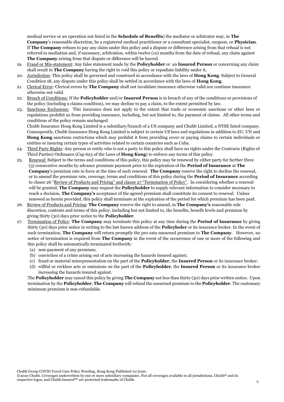medical service or an operation not listed in the **Schedule of Benefits**) the mediator or arbitrator may, in **The Company**'s reasonable discretion, be a registered medical practitioner or a consultant specialist, surgeon, or **Physician**. If **The Company** refuses to pay any claim under this policy and a dispute or difference arising from that refusal is not referred to mediation and, if necessary, arbitration, within twelve (12) months from the date of refusal, any claim against **The Company** arising from that dispute or difference will be barred.

- 19. Fraud or Mis-statement: Any false statement made by the **Policyholder** or an **Insured Person** or concerning any claim shall result in **The Company** having the right to void this policy or repudiate liability under it.
- 20. Jurisdiction: This policy shall be governed and construed in accordance with the laws of **Hong Kong**. Subject to General Condition 18, any dispute under this policy shall be settled in accordance with the laws of **Hong Kong**.
- 21. Clerical Error: Clerical errors by **The Company** shall not invalidate insurance otherwise valid nor continue insurance otherwise not valid.
- 22. Breach of Conditions: If the **Policyholder** and/or **Insured Person** is in breach of any of the conditions or provisions of the policy (including a claims condition), we may decline to pay a claim, to the extent permitted by law.
- 23. Sanctions Exclusions: This insurance does not apply to the extent that trade or economic sanctions or other laws or regulations prohibit us from providing insurance, including, but not limited to, the payment of claims. All other terms and conditions of the policy remain unchanged.

Chubb Insurance Hong Kong Limited is a subsidiary/branch of a US company and Chubb Limited, a NYSE listed company. Consequently, Chubb Insurance Hong Kong Limited is subject to certain US laws and regulations in addition to EU, UN and **Hong Kong** sanctions restrictions which may prohibit it from providing cover or paying claims to certain individuals or entities or insuring certain types of activities related to certain countries such as Cuba.

- 24. Third Party Rights: Any person or entity who is not a party to this policy shall have no rights under the Contracts (Rights of Third Parties) Ordinance (Cap 623 of the Laws of **Hong Kong**) to enforce any terms of this policy.
- 25. Renewal: Subject to the terms and conditions of this policy, this policy may be renewed by either party for further three (3) consecutive months by advance premium payment prior to the expiration of the **Period of Insurance** at **The Company**'s premium rate in force at the time of such renewal. **The Company** reserve the right to decline the renewal, or to amend the premium rate, coverage, terms and conditions of this policy during the **Period of Insurance** according to clause 26 "Review of Products and Pricing" and clause 27 "Termination of Policy". In considering whether a renewal will be granted, **The Company** may request the **Policyholder** to supply relevant information to consider necessary to reach a decision**. The Company's** acceptance of the agreed premium shall constitute its consent to renewal. Unless renewed as herein provided, this policy shall terminate at the expiration of the period for which premium has been paid.
- 26. Review of Products and Pricing: **The Company** reserve the right to amend, in **The Company's** reasonable sole discretion, contents and terms of this policy, including but not limited to, the benefits, benefit levels and premium by giving thirty (30) days prior notice to the **Policyholder**.
- 27. Termination of Policy: **The Company** may terminate this policy at any time during the **Period of Insurance** by giving thirty (30) days prior notice in writing to the last known address of the **Policyholer** or its insurance broker. In the event of such termination, **The Company** will return promptly the pro-rata unearned premium to **The Company**. However, no notice of termination is required from **The Company** in the event of the occurrence of one or more of the following and this policy shall be automatically terminated forthwith:
	- (a) non-payment of any premium;
	- (b) conviction of a crime arising out of acts increasing the hazards insured against;
	- (c) fraud or material misrepresentation on the part of the **Policyholder**, the **Insured Person** or its insurance broker;
	- (d) willful or reckless acts or omissions on the part of the **Policyholder**, the **Insured Person** or its insurance broker increasing the hazards insured against.

The **Policyholder** may cancel this policy by giving **The Company** not less than thirty (30) days prior written notice. Upon termination by the **Policyholder**, **The Company** will refund the unearned premium to the **Policyholder**. The customary minimum premium is non-refundable.

©2020 Chubb. Coverages underwritten by one or more subsidiary companies. Not all coverages available in all jurisdictions. Chubb® and its respective logos, and Chubb.InsuredTM are protected trademarks of Chubb. <sup>8</sup>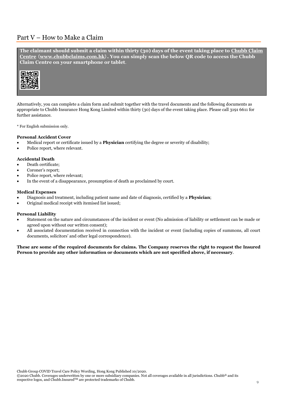# <span id="page-9-0"></span>Part V – How to Make a Claim

**The claimant should submit a claim within thirty (30) days of the event taking place to Chubb Claim Centre** (**[www.chubbclaims.com.hk](http://www.chubbclaims.com.hk/)**)**. You can simply scan the below QR code to access the Chubb Claim Centre on your smartphone or tablet**.



Alternatively, you can complete a claim form and submit together with the travel documents and the following documents as appropriate to Chubb Insurance Hong Kong Limited within thirty (30) days of the event taking place. Please call 3191 6611 for further assistance.

\* For English submission only.

### **Personal Accident Cover**

- Medical report or certificate issued by a **Physician** certifying the degree or severity of disability;
- Police report, where relevant.

### **Accidental Death**

- Death certificate;
- Coroner's report;
- Police report, where relevant:
- In the event of a disappearance, presumption of death as proclaimed by court.

### **Medical Expenses**

- Diagnosis and treatment, including patient name and date of diagnosis, certified by a **Physician**;
- Original medical receipt with itemised list issued;

### **Personal Liability**

- Statement on the nature and circumstances of the incident or event (No admission of liability or settlement can be made or agreed upon without our written consent);
- All associated documentation received in connection with the incident or event (including copies of summons, all court documents, solicitors' and other legal correspondence).

**These are some of the required documents for claims. The Company reserves the right to request the Insured Person to provide any other information or documents which are not specified above, if necessary**.

Chubb Group COVID Travel Care Policy Wording, Hong Kong Published 10/2020.

©2020 Chubb. Coverages underwritten by one or more subsidiary companies. Not all coverages available in all jurisdictions. Chubb® and its respective logos, and Chubb.Insured<sup>TM</sup> are protected trademarks of Chubb.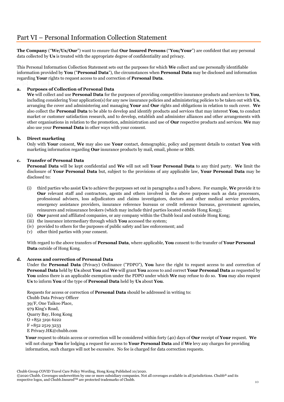<span id="page-10-0"></span>**The Company** ("**We/Us/Our**") want to ensure that **Our Insured Persons** ("**You/Your**") are confident that any personal data collected by **Us** is treated with the appropriate degree of confidentiality and privacy.

This Personal Information Collection Statement sets out the purposes for which **We** collect and use personally identifiable information provided by **You** ("**Personal Data**"), the circumstances when **Personal Data** may be disclosed and information regarding **Your** rights to request access to and correction of **Personal Data**.

# **a. Purposes of Collection of Personal Data**

**We** will collect and use **Personal Data** for the purposes of providing competitive insurance products and services to **You**, including considering Your application(s) for any new insurance policies and administering policies to be taken out with **Us**, arranging the cover and administering and managing **Your** and **Our** rights and obligations in relation to such cover. **We** also collect the **Personal Data** to be able to develop and identify products and services that may interest **You**, to conduct market or customer satisfaction research, and to develop, establish and administer alliances and other arrangements with other organisations in relation to the promotion, administration and use of **Our** respective products and services. **We** may also use your **Personal Data** in other ways with your consent.

# **b. Direct marketing**

Only with **Your** consent, **We** may also use **Your** contact, demographic, policy and payment details to contact **You** with marketing information regarding **Our** insurance products by mail, email, phone or SMS.

# **c. Transfer of Personal Data**

**Personal Data** will be kept confidential and **We** will not sell **Your Personal Data** to any third party. **We** limit the disclosure of **Your Personal Data** but, subject to the provisions of any applicable law, **Your Personal Data** may be disclosed to:

- (i) third parties who assist **Us** to achieve the purposes set out in paragraphs a and b above. For example, **We** provide it to **Our** relevant staff and contractors, agents and others involved in the above purposes such as data processors, professional advisers, loss adjudicators and claims investigators, doctors and other medical service providers, emergency assistance providers, insurance reference bureaus or credit reference bureaus, government agencies, reinsurers and reinsurance brokers (which may include third parties located outside Hong Kong);
- (ii) **Our** parent and affiliated companies, or any company within the Chubb local and outside Hong Kong;
- (iii) the insurance intermediary through which **You** accessed the system;
- (iv) provided to others for the purposes of public safety and law enforcement; and
- (v) other third parties with your consent.

With regard to the above transfers of **Personal Data**, where applicable, **You** consent to the transfer of **Your Personal Data** outside of Hong Kong.

### **d. Access and correction of Personal Data**

Under the **Personal Data** (Privacy) Ordinance ("PDPO"), **You** have the right to request access to and correction of **Personal Data** held by **Us** about **You** and **We** will grant **You** access to and correct **Your Personal Data** as requested by **You** unless there is an applicable exemption under the PDPO under which **We** may refuse to do so. **You** may also request **Us** to inform **You** of the type of **Personal Data** held by **Us** about **You**.

Requests for access or correction of **Personal Data** should be addressed in writing to:

Chubb Data Privacy Officer 39/F, One Taikoo Place, 979 King's Road, Quarry Bay, Hong Kong O +852 3191 6222 F +852 2519 3233 E Privacy.HK@chubb.com

**Your** request to obtain access or correction will be considered within forty (40) days of **Our** receipt of **Your** request. **We** will not charge **You** for lodging a request for access to **Your Personal Data** and if **We** levy any charges for providing information, such charges will not be excessive. No fee is charged for data correction requests.

<sup>©2020</sup> Chubb. Coverages underwritten by one or more subsidiary companies. Not all coverages available in all jurisdictions. Chubb® and its respective logos, and Chubb.Insured<sup>TM</sup> are protected trademarks of Chubb.